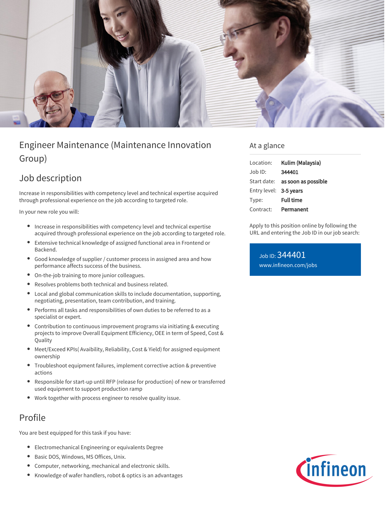

# Engineer Maintenance (Maintenance Innovation Group)

## Job description

Increase in responsibilities with competency level and technical expertise acquired through professional experience on the job according to targeted role.

In your new role you will:

- Increase in responsibilities with competency level and technical expertise acquired through professional experience on the job according to targeted role.
- Extensive technical knowledge of assigned functional area in Frontend or  $\bullet$ Backend.
- Good knowledge of supplier / customer process in assigned area and how performance affects success of the business.
- On-the-job training to more junior colleagues.
- Resolves problems both technical and business related.  $\bullet$
- Local and global communication skills to include documentation, supporting,  $\bullet$ negotiating, presentation, team contribution, and training.
- Performs all tasks and responsibilities of own duties to be referred to as a specialist or expert.
- Contribution to continuous improvement programs via initiating & executing projects to improve Overall Equipment Efficiency, OEE in term of Speed, Cost & Quality
- Meet/Exceed KPIs( Avaibility, Reliability, Cost & Yield) for assigned equipment ownership
- Troubleshoot equipment failures, implement corrective action & preventive actions
- Responsible for start-up until RFP (release for production) of new or transferred used equipment to support production ramp
- Work together with process engineer to resolve quality issue.

### Profile

You are best equipped for this task if you have:

- Electromechanical Engineering or equivalents Degree
- Basic DOS, Windows, MS Offices, Unix.  $\bullet$
- Computer, networking, mechanical and electronic skills.
- Knowledge of wafer handlers, robot & optics is an advantages

### At a glance

| Location:              | Kulim (Malaysia)                       |
|------------------------|----------------------------------------|
| $Joh$ ID:              | 344401                                 |
|                        | Start date: <b>as soon as possible</b> |
| Entry level: 3-5 years |                                        |
| Type:                  | <b>Full time</b>                       |
| Contract:              | Permanent                              |

Apply to this position online by following the URL and entering the Job ID in our job search:

Job ID: 344401 [www.infineon.com/jobs](https://www.infineon.com/jobs)